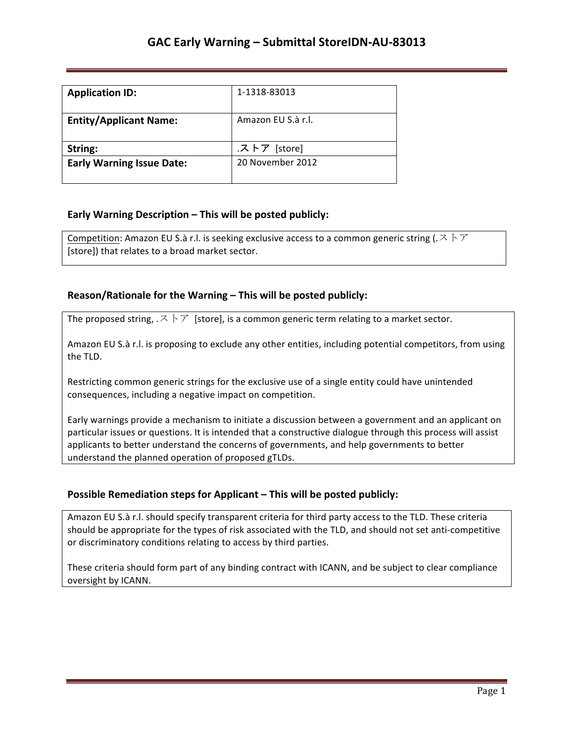| <b>Application ID:</b>           | 1-1318-83013       |
|----------------------------------|--------------------|
| <b>Entity/Applicant Name:</b>    | Amazon EU S.à r.l. |
| String:                          | .ストア [store]       |
| <b>Early Warning Issue Date:</b> | 20 November 2012   |

## **Early Warning Description – This will be posted publicly:**

Competition: Amazon EU S.à r.l. is seeking exclusive access to a common generic string (. $Z \nmid Z$ [store]) that relates to a broad market sector.

### **Reason/Rationale for the Warning – This will be posted publicly:**

The proposed string,  $\mathcal{R} \setminus \mathcal{T}$  [store], is a common generic term relating to a market sector.

Amazon EU S.à r.l. is proposing to exclude any other entities, including potential competitors, from using the TLD.

Restricting common generic strings for the exclusive use of a single entity could have unintended consequences, including a negative impact on competition.

Early warnings provide a mechanism to initiate a discussion between a government and an applicant on particular issues or questions. It is intended that a constructive dialogue through this process will assist applicants to better understand the concerns of governments, and help governments to better understand the planned operation of proposed gTLDs.

### **Possible Remediation steps for Applicant – This will be posted publicly:**

Amazon EU S.à r.l. should specify transparent criteria for third party access to the TLD. These criteria should be appropriate for the types of risk associated with the TLD, and should not set anti-competitive or discriminatory conditions relating to access by third parties.

These criteria should form part of any binding contract with ICANN, and be subject to clear compliance oversight by ICANN.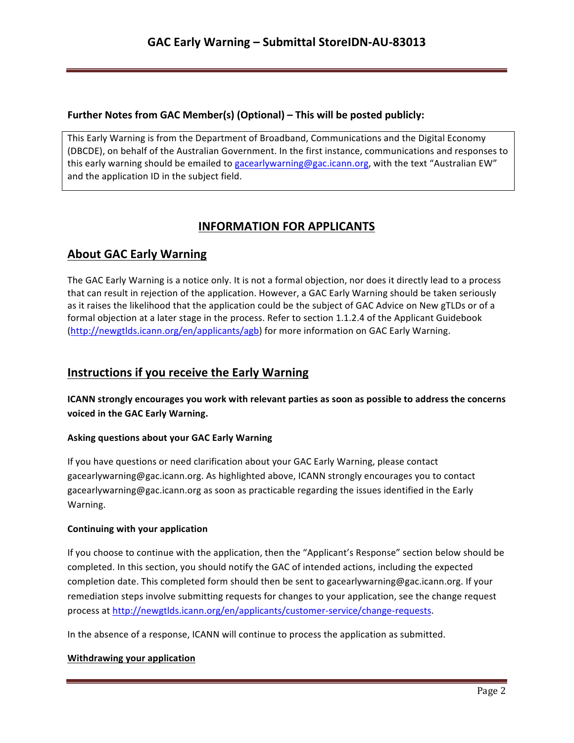### **Further Notes from GAC Member(s) (Optional) – This will be posted publicly:**

This Early Warning is from the Department of Broadband, Communications and the Digital Economy (DBCDE), on behalf of the Australian Government. In the first instance, communications and responses to this early warning should be emailed to gacearlywarning@gac.icann.org, with the text "Australian EW" and the application ID in the subject field.

# **INFORMATION FOR APPLICANTS**

# **About GAC Early Warning**

The GAC Early Warning is a notice only. It is not a formal objection, nor does it directly lead to a process that can result in rejection of the application. However, a GAC Early Warning should be taken seriously as it raises the likelihood that the application could be the subject of GAC Advice on New gTLDs or of a formal objection at a later stage in the process. Refer to section 1.1.2.4 of the Applicant Guidebook (http://newgtlds.icann.org/en/applicants/agb) for more information on GAC Early Warning.

## **Instructions if you receive the Early Warning**

**ICANN** strongly encourages you work with relevant parties as soon as possible to address the concerns voiced in the GAC Early Warning.

### **Asking questions about your GAC Early Warning**

If you have questions or need clarification about your GAC Early Warning, please contact gacearlywarning@gac.icann.org. As highlighted above, ICANN strongly encourages you to contact gacearlywarning@gac.icann.org as soon as practicable regarding the issues identified in the Early Warning. 

### **Continuing with your application**

If you choose to continue with the application, then the "Applicant's Response" section below should be completed. In this section, you should notify the GAC of intended actions, including the expected completion date. This completed form should then be sent to gacearlywarning@gac.icann.org. If your remediation steps involve submitting requests for changes to your application, see the change request process at http://newgtlds.icann.org/en/applicants/customer-service/change-requests.

In the absence of a response, ICANN will continue to process the application as submitted.

### **Withdrawing your application**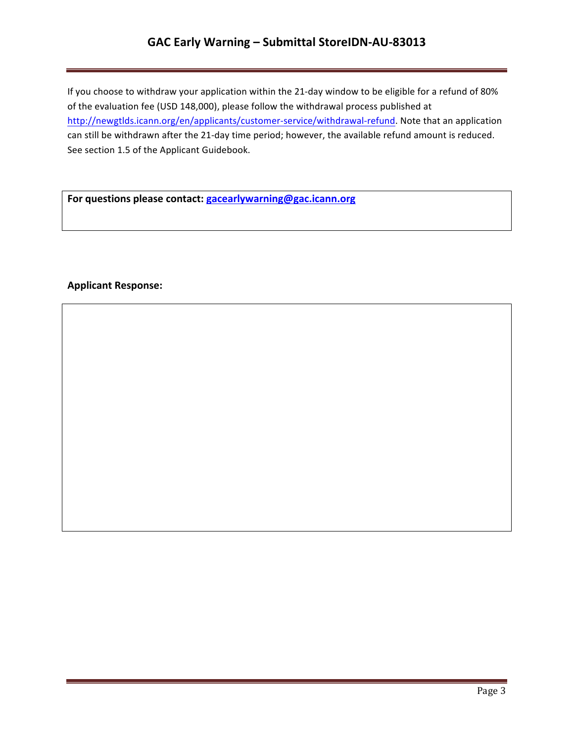# GAC Early Warning - Submittal StoreIDN-AU-83013

If you choose to withdraw your application within the 21-day window to be eligible for a refund of 80% of the evaluation fee (USD 148,000), please follow the withdrawal process published at http://newgtlds.icann.org/en/applicants/customer-service/withdrawal-refund. Note that an application can still be withdrawn after the 21-day time period; however, the available refund amount is reduced. See section 1.5 of the Applicant Guidebook.

For questions please contact: **gacearlywarning@gac.icann.org** 

### **Applicant Response:**